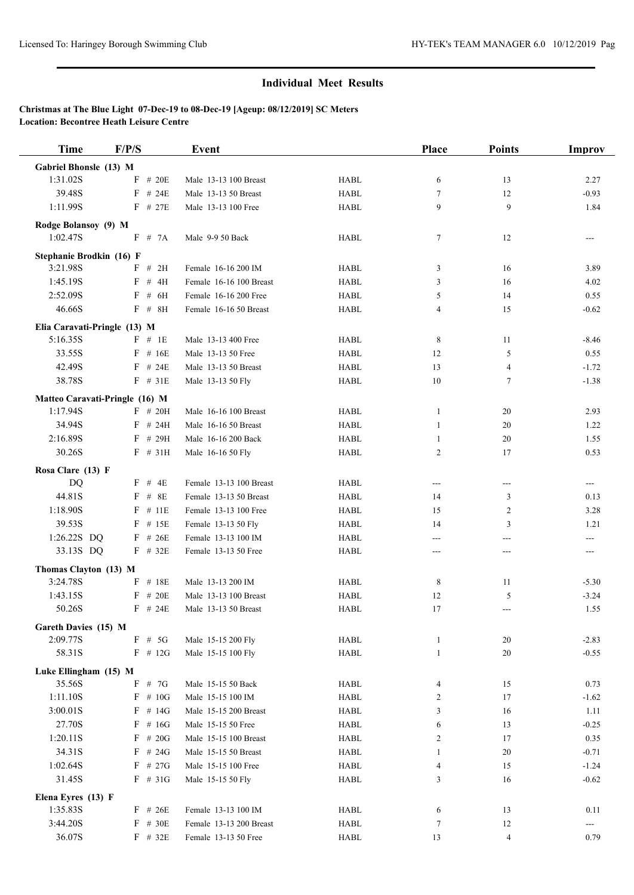| <b>Time</b>                    | F/P/S             | Event                   |             | <b>Place</b>     | <b>Points</b>  | Improv  |
|--------------------------------|-------------------|-------------------------|-------------|------------------|----------------|---------|
| Gabriel Bhonsle (13) M         |                   |                         |             |                  |                |         |
| 1:31.02S                       | $F$ # 20E         | Male 13-13 100 Breast   | <b>HABL</b> | 6                | 13             | 2.27    |
| 39.48S                         | $F$ # 24E         | Male 13-13 50 Breast    | <b>HABL</b> | 7                | 12             | $-0.93$ |
| 1:11.99S                       | $F$ # 27E         | Male 13-13 100 Free     | <b>HABL</b> | 9                | 9              | 1.84    |
| Rodge Bolansoy (9) M           |                   |                         |             |                  |                |         |
| 1:02.47S                       | F # 7A            | Male 9-9 50 Back        | <b>HABL</b> | $\tau$           | 12             | ---     |
| Stephanie Brodkin (16) F       |                   |                         |             |                  |                |         |
| 3:21.98S                       | # 2H<br>F         | Female 16-16 200 IM     | <b>HABL</b> | 3                | 16             | 3.89    |
| 1:45.19S                       | # 4H<br>F         | Female 16-16 100 Breast | <b>HABL</b> | 3                | 16             | 4.02    |
| 2:52.09S                       | F<br># 6H         | Female 16-16 200 Free   | <b>HABL</b> | 5                | 14             | 0.55    |
| 46.66S                         | $F$ # $8H$        | Female 16-16 50 Breast  | <b>HABL</b> | 4                | 15             | $-0.62$ |
| Elia Caravati-Pringle (13) M   |                   |                         |             |                  |                |         |
| 5:16.35S                       | $F$ # 1E          | Male 13-13 400 Free     | <b>HABL</b> | 8                | 11             | $-8.46$ |
| 33.55S                         | $F$ # 16E         | Male 13-13 50 Free      | <b>HABL</b> | 12               | 5              | 0.55    |
| 42.49S                         | $F$ # 24E         | Male 13-13 50 Breast    | <b>HABL</b> | 13               | 4              | $-1.72$ |
| 38.78S                         | $F$ # 31E         | Male 13-13 50 Fly       | <b>HABL</b> | 10               | $\tau$         | $-1.38$ |
|                                |                   |                         |             |                  |                |         |
| Matteo Caravati-Pringle (16) M |                   |                         |             |                  |                |         |
| 1:17.94S                       | $F$ # 20H<br>#24H | Male 16-16 100 Breast   | <b>HABL</b> | 1                | 20             | 2.93    |
| 34.94S                         | F                 | Male 16-16 50 Breast    | <b>HABL</b> | 1                | 20             | 1.22    |
| 2:16.89S<br>30.26S             | F<br># 29H        | Male 16-16 200 Back     | <b>HABL</b> | 1                | 20             | 1.55    |
|                                | $F$ # 31H         | Male 16-16 50 Fly       | <b>HABL</b> | $\overline{2}$   | 17             | 0.53    |
| Rosa Clare (13) F              |                   |                         |             |                  |                |         |
| DQ                             | $F$ # 4E          | Female 13-13 100 Breast | <b>HABL</b> | ---              | ---            | ---     |
| 44.81S                         | # 8E<br>F         | Female 13-13 50 Breast  | <b>HABL</b> | 14               | 3              | 0.13    |
| 1:18.90S                       | F<br># 11E        | Female 13-13 100 Free   | <b>HABL</b> | 15               | $\overline{c}$ | 3.28    |
| 39.53S                         | F<br># 15E        | Female 13-13 50 Fly     | <b>HABL</b> | 14               | 3              | 1.21    |
| 1:26.22S DQ                    | $F$ # 26E         | Female 13-13 100 IM     | <b>HABL</b> | ---              | ---            | ---     |
| 33.13S DQ                      | $F$ # 32E         | Female 13-13 50 Free    | <b>HABL</b> | ---              | $---$          | ---     |
| Thomas Clayton (13) M          |                   |                         |             |                  |                |         |
| 3:24.78S                       | # 18E<br>F        | Male 13-13 200 IM       | <b>HABL</b> | 8                | 11             | $-5.30$ |
| 1:43.15S                       | # 20E<br>F        | Male 13-13 100 Breast   | <b>HABL</b> | 12               | 5              | $-3.24$ |
| 50.26S                         | $F$ # 24E         | Male 13-13 50 Breast    | <b>HABL</b> | 17               | $---$          | 1.55    |
| Gareth Davies (15) M           |                   |                         |             |                  |                |         |
| 2:09.77S                       | $F$ # 5G          | Male 15-15 200 Fly      | HABL        | $\mathbf{1}$     | 20             | $-2.83$ |
| 58.31S                         | $F$ # 12G         | Male 15-15 100 Fly      | <b>HABL</b> | $\mathbf{1}$     | 20             | $-0.55$ |
| Luke Ellingham (15) M          |                   |                         |             |                  |                |         |
| 35.56S                         | F<br># 7G         | Male 15-15 50 Back      | HABL        | $\overline{4}$   | 15             | 0.73    |
| 1:11.10S                       | $F$ # 10G         | Male 15-15 100 IM       | <b>HABL</b> | 2                | 17             | $-1.62$ |
| 3:00.01S                       | $F$ # 14G         | Male 15-15 200 Breast   | HABL        | 3                | 16             | 1.11    |
| 27.70S                         | $F$ # 16G         | Male 15-15 50 Free      | HABL        | 6                | 13             | $-0.25$ |
| 1:20.11S                       | $F$ # 20G         | Male 15-15 100 Breast   | HABL        | $\overline{c}$   | 17             | 0.35    |
| 34.31S                         | $F$ # 24G         | Male 15-15 50 Breast    | HABL        | 1                | 20             | $-0.71$ |
| 1:02.64S                       | $F$ # 27G         | Male 15-15 100 Free     | HABL        | $\overline{4}$   | 15             | $-1.24$ |
| 31.45S                         | $F$ # 31G         | Male 15-15 50 Fly       | <b>HABL</b> | 3                | 16             | $-0.62$ |
| Elena Eyres (13) F             |                   |                         |             |                  |                |         |
| 1:35.83S                       | $F$ # 26E         | Female 13-13 100 IM     | HABL        | 6                | 13             | 0.11    |
| 3:44.20S                       | # 30E<br>F        | Female 13-13 200 Breast | HABL        | $\boldsymbol{7}$ | 12             | ---     |
| 36.07S                         | $F$ # 32E         | Female 13-13 50 Free    | <b>HABL</b> | 13               | 4              | 0.79    |
|                                |                   |                         |             |                  |                |         |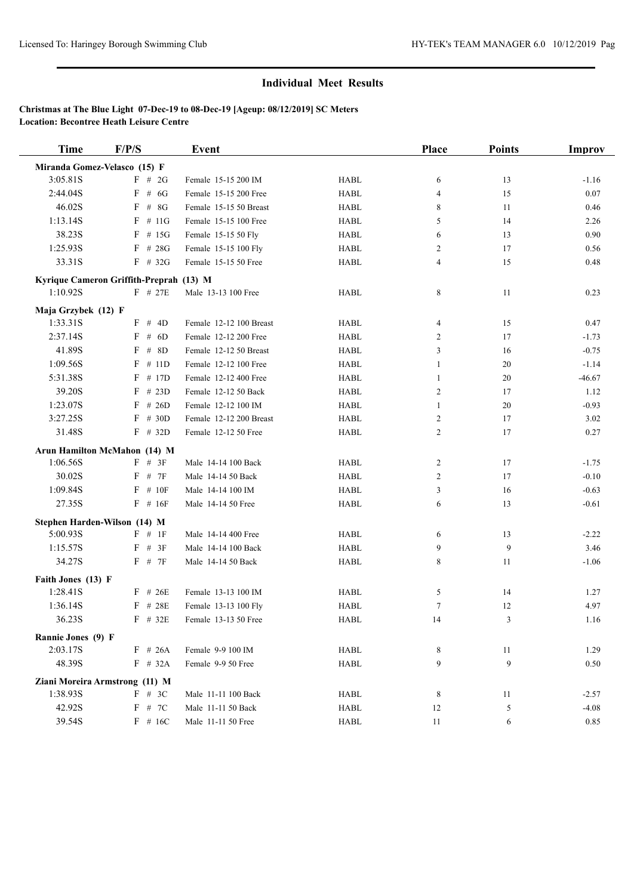| <b>Time</b>                    | F/P/S                                   | <b>Event</b>            |             | <b>Place</b>   | <b>Points</b> | <b>Improv</b> |
|--------------------------------|-----------------------------------------|-------------------------|-------------|----------------|---------------|---------------|
|                                | Miranda Gomez-Velasco (15) F            |                         |             |                |               |               |
| 3:05.81S                       | $F$ # 2G                                | Female 15-15 200 IM     | <b>HABL</b> | 6              | 13            | $-1.16$       |
| 2:44.04S                       | $F$ # 6G                                | Female 15-15 200 Free   | <b>HABL</b> | $\overline{4}$ | 15            | 0.07          |
| 46.02S                         | $F$ # 8G                                | Female 15-15 50 Breast  | <b>HABL</b> | 8              | 11            | 0.46          |
| 1:13.14S                       | $F$ # 11G                               | Female 15-15 100 Free   | <b>HABL</b> | 5              | 14            | 2.26          |
| 38.23S                         | $F$ # 15G                               | Female 15-15 50 Fly     | <b>HABL</b> | 6              | 13            | 0.90          |
| 1:25.93S                       | $F$ # 28G                               | Female 15-15 100 Fly    | <b>HABL</b> | 2              | 17            | 0.56          |
| 33.31S                         | $F$ # 32G                               | Female 15-15 50 Free    | <b>HABL</b> | $\overline{4}$ | 15            | 0.48          |
|                                | Kyrique Cameron Griffith-Preprah (13) M |                         |             |                |               |               |
| 1:10.92S                       | $F$ # 27E                               | Male 13-13 100 Free     | <b>HABL</b> | 8              | 11            | 0.23          |
| Maja Grzybek (12) F            |                                         |                         |             |                |               |               |
| 1:33.31S                       | F # 4D                                  | Female 12-12 100 Breast | <b>HABL</b> | 4              | 15            | 0.47          |
| 2:37.14S                       | $F$ # 6D                                | Female 12-12 200 Free   | <b>HABL</b> | 2              | 17            | $-1.73$       |
| 41.89S                         | $F$ # 8D                                | Female 12-12 50 Breast  | <b>HABL</b> | 3              | 16            | $-0.75$       |
| 1:09.56S                       | $F$ # 11D                               | Female 12-12 100 Free   | <b>HABL</b> | 1              | 20            | $-1.14$       |
| 5:31.38S                       | # 17D<br>F                              | Female 12-12 400 Free   | <b>HABL</b> | 1              | 20            | $-46.67$      |
| 39.20S                         | $F$ # 23D                               | Female 12-12 50 Back    | <b>HABL</b> | $\overline{c}$ | 17            | 1.12          |
| 1:23.07S                       | $F$ # 26D                               | Female 12-12 100 IM     | <b>HABL</b> | 1              | 20            | $-0.93$       |
| 3:27.25S                       | $F$ # 30D                               | Female 12-12 200 Breast | <b>HABL</b> | 2              | 17            | 3.02          |
| 31.48S                         | $F$ # 32D                               | Female 12-12 50 Free    | <b>HABL</b> | 2              | 17            | 0.27          |
|                                | Arun Hamilton McMahon (14) M            |                         |             |                |               |               |
| 1:06.56S                       | $F$ # 3F                                | Male 14-14 100 Back     | <b>HABL</b> | 2              | 17            | $-1.75$       |
| 30.02S                         | # 7F<br>F                               | Male 14-14 50 Back      | <b>HABL</b> | 2              | 17            | $-0.10$       |
| 1:09.84S                       | $F$ # 10F                               | Male 14-14 100 IM       | <b>HABL</b> | 3              | 16            | $-0.63$       |
| 27.35S                         | $F$ # 16F                               | Male 14-14 50 Free      | <b>HABL</b> | 6              | 13            | $-0.61$       |
|                                | Stephen Harden-Wilson (14) M            |                         |             |                |               |               |
| 5:00.93S                       | $F \# 1F$                               | Male 14-14 400 Free     | <b>HABL</b> | 6              | 13            | $-2.22$       |
| 1:15.57S                       | F # 3F                                  | Male 14-14 100 Back     | <b>HABL</b> | 9              | 9             | 3.46          |
| 34.27S                         | F # 7F                                  | Male 14-14 50 Back      | <b>HABL</b> | 8              | 11            | $-1.06$       |
| Faith Jones (13) F             |                                         |                         |             |                |               |               |
| 1:28.41S                       | $F$ # 26E                               | Female 13-13 100 IM     | <b>HABL</b> | 5              | 14            | 1.27          |
| 1:36.14S                       | $F$ # 28E                               | Female 13-13 100 Fly    | <b>HABL</b> | $\tau$         | 12            | 4.97          |
| 36.23S                         | $F$ # 32E                               | Female 13-13 50 Free    | <b>HABL</b> | 14             | 3             | 1.16          |
|                                |                                         |                         |             |                |               |               |
| Rannie Jones (9) F<br>2:03.17S | $F$ # 26A                               | Female 9-9 100 IM       | HABL        | 8              | 11            | 1.29          |
| 48.39S                         | $F$ # 32A                               | Female 9-9 50 Free      | <b>HABL</b> | 9              | 9             | 0.50          |
|                                |                                         |                         |             |                |               |               |
|                                | Ziani Moreira Armstrong (11) M          |                         |             |                |               |               |
| 1:38.93S                       | F # 3C                                  | Male 11-11 100 Back     | <b>HABL</b> | 8              | 11            | $-2.57$       |
| 42.92S                         | F # 7C                                  | Male 11-11 50 Back      | HABL        | 12             | 5             | $-4.08$       |
| 39.54S                         | $F$ # 16C                               | Male 11-11 50 Free      | HABL        | 11             | 6             | 0.85          |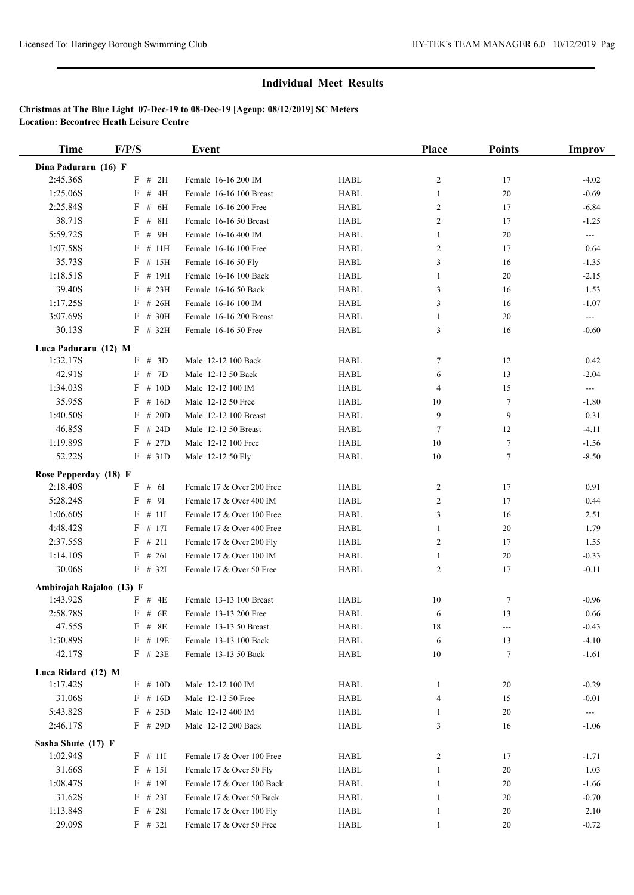| <b>Time</b>              | F/P/S               | Event                     |             | Place          | <b>Points</b>  | Improv        |
|--------------------------|---------------------|---------------------------|-------------|----------------|----------------|---------------|
| Dina Paduraru (16) F     |                     |                           |             |                |                |               |
| 2:45.36S                 | $F$ # 2H            | Female 16-16 200 IM       | <b>HABL</b> | $\overline{c}$ | 17             | $-4.02$       |
| 1:25.06S                 | # 4H<br>$_{\rm F}$  | Female 16-16 100 Breast   | <b>HABL</b> | 1              | 20             | $-0.69$       |
| 2:25.84S                 | $F$ # $6H$          | Female 16-16 200 Free     | <b>HABL</b> | 2              | 17             | $-6.84$       |
| 38.71S                   | $F$ # 8H            | Female 16-16 50 Breast    | <b>HABL</b> | 2              | 17             | $-1.25$       |
| 5:59.72S                 | F<br>#9H            | Female 16-16 400 IM       | <b>HABL</b> | 1              | 20             | ---           |
| 1:07.58S                 | $F$ # 11H           | Female 16-16 100 Free     | <b>HABL</b> | 2              | 17             | 0.64          |
| 35.73S                   | $F$ # 15H           | Female 16-16 50 Fly       | <b>HABL</b> | 3              | 16             | $-1.35$       |
| 1:18.51S                 | # 19H<br>F          | Female 16-16 100 Back     | <b>HABL</b> | 1              | 20             | $-2.15$       |
| 39.40S                   | $F$ # 23H           | Female 16-16 50 Back      | <b>HABL</b> | 3              | 16             | 1.53          |
| 1:17.25S                 | $F$ # 26H           | Female 16-16 100 IM       | <b>HABL</b> | 3              | 16             | $-1.07$       |
| 3:07.69S                 | $F$ # 30H           | Female 16-16 200 Breast   | <b>HABL</b> | 1              | 20             | $\frac{1}{2}$ |
| 30.13S                   | $F$ # 32H           | Female 16-16 50 Free      | <b>HABL</b> | 3              | 16             | $-0.60$       |
| Luca Paduraru (12) M     |                     |                           |             |                |                |               |
| 1:32.17S                 | F # 3D              | Male 12-12 100 Back       | <b>HABL</b> | 7              | 12             | 0.42          |
| 42.91S                   | F # 7D              | Male 12-12 50 Back        | <b>HABL</b> | 6              | 13             | $-2.04$       |
| 1:34.03S                 | # 10D<br>F          | Male 12-12 100 IM         | <b>HABL</b> | 4              | 15             | ---           |
| 35.95S                   | $F$ # 16D           | Male 12-12 50 Free        | <b>HABL</b> | 10             | $\tau$         | $-1.80$       |
| 1:40.50S                 | F<br># 20D          | Male 12-12 100 Breast     | <b>HABL</b> | 9              | 9              | 0.31          |
| 46.85S                   | $_{\rm F}$<br># 24D | Male 12-12 50 Breast      | <b>HABL</b> | $\tau$         | 12             | $-4.11$       |
| 1:19.89S                 | $F$ # 27D           | Male 12-12 100 Free       | <b>HABL</b> | 10             | $\tau$         | $-1.56$       |
| 52.22S                   | $F$ # 31D           | Male 12-12 50 Fly         | <b>HABL</b> | 10             | $\overline{7}$ | $-8.50$       |
| Rose Pepperday (18) F    |                     |                           |             |                |                |               |
| 2:18.40S                 | F # 6I              | Female 17 & Over 200 Free | <b>HABL</b> | 2              | 17             | 0.91          |
| 5:28.24S                 | F # 9I              | Female 17 & Over 400 IM   | <b>HABL</b> | $\overline{c}$ | 17             | 0.44          |
| 1:06.60S                 | $F$ # 111           | Female 17 & Over 100 Free | <b>HABL</b> | 3              | 16             | 2.51          |
| 4:48.42S                 | $F$ # 17I           | Female 17 & Over 400 Free | <b>HABL</b> | 1              | 20             | 1.79          |
| 2:37.55S                 | $F$ # 211           | Female 17 & Over 200 Fly  | <b>HABL</b> | 2              | 17             | 1.55          |
| 1:14.10S                 | $F$ # 261           | Female 17 & Over 100 IM   | <b>HABL</b> | $\mathbf{1}$   | 20             | $-0.33$       |
| 30.06S                   | $F$ # 32I           | Female 17 & Over 50 Free  | <b>HABL</b> | 2              | 17             | $-0.11$       |
| Ambirojah Rajaloo (13) F |                     |                           |             |                |                |               |
| 1:43.92S                 | $F$ # 4E            | Female 13-13 100 Breast   | <b>HABL</b> | 10             | $\tau$         | $-0.96$       |
| 2:58.78S                 | $F$ # 6E            | Female 13-13 200 Free     | <b>HABL</b> | 6              | 13             | 0.66          |
| 47.55S                   | $F$ # 8E            | Female 13-13 50 Breast    | HABL        | 18             | ---            | $-0.43$       |
| 1:30.89S                 | F # 19E             | Female 13-13 100 Back     | <b>HABL</b> | 6              | 13             | $-4.10$       |
| 42.17S                   | $F$ # 23E           | Female 13-13 50 Back      | HABL        | $10\,$         | $\tau$         | $-1.61$       |
| Luca Ridard (12) M       |                     |                           |             |                |                |               |
| 1:17.42S                 | $F \# 10D$          | Male 12-12 100 IM         | HABL        | 1              | 20             | $-0.29$       |
| 31.06S                   | $F$ # 16D           | Male 12-12 50 Free        | <b>HABL</b> | 4              | 15             | $-0.01$       |
| 5:43.82S                 | $F$ # 25D           | Male 12-12 400 IM         | HABL        | 1              | 20             | ---           |
| 2:46.17S                 | $F$ # 29D           | Male 12-12 200 Back       | HABL        | 3              | 16             | $-1.06$       |
| Sasha Shute (17) F       |                     |                           |             |                |                |               |
| 1:02.94S                 | $F$ # 111           | Female 17 & Over 100 Free | <b>HABL</b> | 2              | 17             | $-1.71$       |
| 31.66S                   | $F$ # 15I           | Female 17 & Over 50 Fly   | HABL        | 1              | 20             | 1.03          |
| 1:08.47S                 | $F$ # 191           | Female 17 & Over 100 Back | HABL        | 1              | 20             | $-1.66$       |
| 31.62S                   | $F$ # 23I           | Female 17 & Over 50 Back  | HABL        | $\mathbf{1}$   | 20             | $-0.70$       |
| 1:13.84S                 | $F$ # 28I           | Female 17 & Over 100 Fly  | HABL        | $\mathbf{1}$   | 20             | 2.10          |
| 29.09S                   | $F$ # 321           | Female 17 & Over 50 Free  | HABL        | $\mathbf{1}$   | 20             | $-0.72$       |
|                          |                     |                           |             |                |                |               |